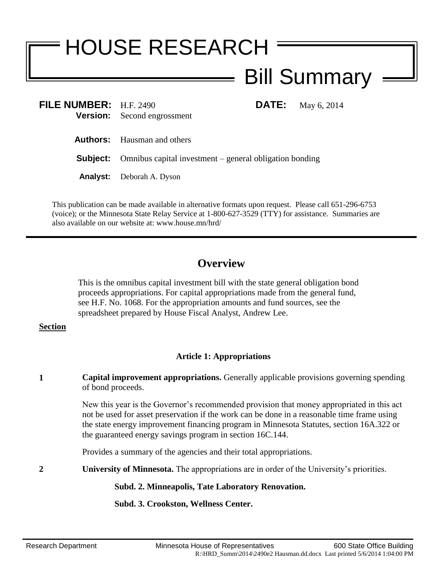# HOUSE RESEARCH Bill Summary

| FILE NUMBER: $H.F. 2490$ | <b>Version:</b> Second engrossment                                      | <b>DATE:</b> May 6, 2014 |
|--------------------------|-------------------------------------------------------------------------|--------------------------|
|                          | <b>Authors:</b> Hausman and others                                      |                          |
|                          | <b>Subject:</b> Omnibus capital investment – general obligation bonding |                          |
|                          | <b>Analyst:</b> Deborah A. Dyson                                        |                          |

This publication can be made available in alternative formats upon request. Please call 651-296-6753 (voice); or the Minnesota State Relay Service at 1-800-627-3529 (TTY) for assistance. Summaries are also available on our website at: www.house.mn/hrd/

# **Overview**

This is the omnibus capital investment bill with the state general obligation bond proceeds appropriations. For capital appropriations made from the general fund, see H.F. No. 1068. For the appropriation amounts and fund sources, see the spreadsheet prepared by House Fiscal Analyst, Andrew Lee.

#### **Section**

## **Article 1: Appropriations**

**1 Capital improvement appropriations.** Generally applicable provisions governing spending of bond proceeds.

> New this year is the Governor's recommended provision that money appropriated in this act not be used for asset preservation if the work can be done in a reasonable time frame using the state energy improvement financing program in Minnesota Statutes, section 16A.322 or the guaranteed energy savings program in section 16C.144.

Provides a summary of the agencies and their total appropriations.

**2 University of Minnesota.** The appropriations are in order of the University's priorities.

### **Subd. 2. Minneapolis, Tate Laboratory Renovation.**

**Subd. 3. Crookston, Wellness Center.**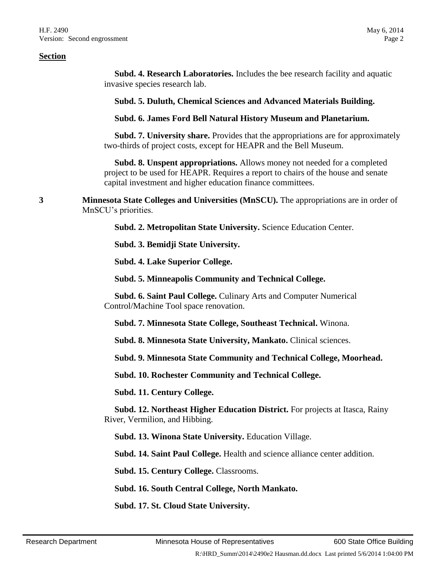**Subd. 4. Research Laboratories.** Includes the bee research facility and aquatic invasive species research lab.

**Subd. 5. Duluth, Chemical Sciences and Advanced Materials Building.**

**Subd. 6. James Ford Bell Natural History Museum and Planetarium.**

 **Subd. 7. University share.** Provides that the appropriations are for approximately two-thirds of project costs, except for HEAPR and the Bell Museum.

 **Subd. 8. Unspent appropriations.** Allows money not needed for a completed project to be used for HEAPR. Requires a report to chairs of the house and senate capital investment and higher education finance committees.

**3 Minnesota State Colleges and Universities (MnSCU).** The appropriations are in order of MnSCU's priorities.

**Subd. 2. Metropolitan State University.** Science Education Center.

**Subd. 3. Bemidji State University.**

**Subd. 4. Lake Superior College.**

**Subd. 5. Minneapolis Community and Technical College.**

 **Subd. 6. Saint Paul College.** Culinary Arts and Computer Numerical Control/Machine Tool space renovation.

**Subd. 7. Minnesota State College, Southeast Technical.** Winona.

**Subd. 8. Minnesota State University, Mankato.** Clinical sciences.

**Subd. 9. Minnesota State Community and Technical College, Moorhead.**

**Subd. 10. Rochester Community and Technical College.**

**Subd. 11. Century College.**

 **Subd. 12. Northeast Higher Education District.** For projects at Itasca, Rainy River, Vermilion, and Hibbing.

**Subd. 13. Winona State University.** Education Village.

**Subd. 14. Saint Paul College.** Health and science alliance center addition.

**Subd. 15. Century College.** Classrooms.

**Subd. 16. South Central College, North Mankato.**

**Subd. 17. St. Cloud State University.**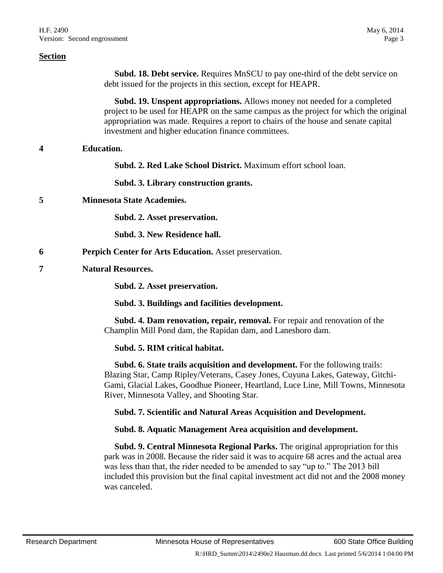**Subd. 18. Debt service.** Requires MnSCU to pay one-third of the debt service on debt issued for the projects in this section, except for HEAPR.

 **Subd. 19. Unspent appropriations.** Allows money not needed for a completed project to be used for HEAPR on the same campus as the project for which the original appropriation was made. Requires a report to chairs of the house and senate capital investment and higher education finance committees.

#### **4 Education.**

**Subd. 2. Red Lake School District.** Maximum effort school loan.

**Subd. 3. Library construction grants.**

**5 Minnesota State Academies.**

**Subd. 2. Asset preservation.**

**Subd. 3. New Residence hall.**

- **6 Perpich Center for Arts Education.** Asset preservation.
- **7 Natural Resources.**

**Subd. 2. Asset preservation.**

**Subd. 3. Buildings and facilities development.**

 **Subd. 4. Dam renovation, repair, removal.** For repair and renovation of the Champlin Mill Pond dam, the Rapidan dam, and Lanesboro dam.

**Subd. 5. RIM critical habitat.**

 **Subd. 6. State trails acquisition and development.** For the following trails: Blazing Star, Camp Ripley/Veterans, Casey Jones, Cuyuna Lakes, Gateway, Gitchi-Gami, Glacial Lakes, Goodhue Pioneer, Heartland, Luce Line, Mill Towns, Minnesota River, Minnesota Valley, and Shooting Star.

**Subd. 7. Scientific and Natural Areas Acquisition and Development.**

**Subd. 8. Aquatic Management Area acquisition and development.**

 **Subd. 9. Central Minnesota Regional Parks.** The original appropriation for this park was in 2008. Because the rider said it was to acquire 68 acres and the actual area was less than that, the rider needed to be amended to say "up to." The 2013 bill included this provision but the final capital investment act did not and the 2008 money was canceled.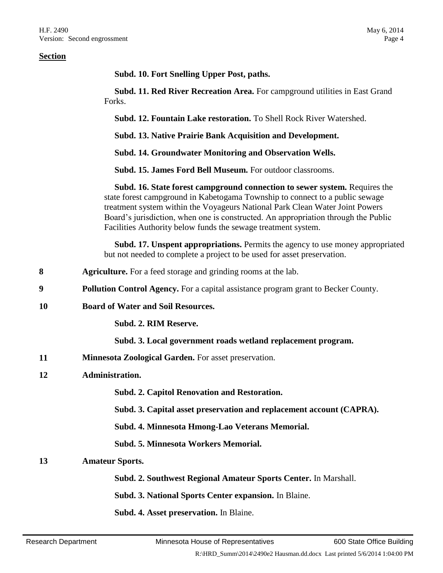**Subd. 10. Fort Snelling Upper Post, paths.**

 **Subd. 11. Red River Recreation Area.** For campground utilities in East Grand Forks.

**Subd. 12. Fountain Lake restoration.** To Shell Rock River Watershed.

**Subd. 13. Native Prairie Bank Acquisition and Development.**

**Subd. 14. Groundwater Monitoring and Observation Wells.**

**Subd. 15. James Ford Bell Museum.** For outdoor classrooms.

 **Subd. 16. State forest campground connection to sewer system.** Requires the state forest campground in Kabetogama Township to connect to a public sewage treatment system within the Voyageurs National Park Clean Water Joint Powers Board's jurisdiction, when one is constructed. An appropriation through the Public Facilities Authority below funds the sewage treatment system.

 **Subd. 17. Unspent appropriations.** Permits the agency to use money appropriated but not needed to complete a project to be used for asset preservation.

- **8 Agriculture.** For a feed storage and grinding rooms at the lab.
- **9 Pollution Control Agency.** For a capital assistance program grant to Becker County.
- **10 Board of Water and Soil Resources.**

#### **Subd. 2. RIM Reserve.**

#### **Subd. 3. Local government roads wetland replacement program.**

**11 Minnesota Zoological Garden.** For asset preservation.

#### **12 Administration.**

**Subd. 2. Capitol Renovation and Restoration.**

**Subd. 3. Capital asset preservation and replacement account (CAPRA).**

**Subd. 4. Minnesota Hmong-Lao Veterans Memorial.**

**Subd. 5. Minnesota Workers Memorial.**

#### **13 Amateur Sports.**

**Subd. 2. Southwest Regional Amateur Sports Center.** In Marshall.

**Subd. 3. National Sports Center expansion.** In Blaine.

**Subd. 4. Asset preservation.** In Blaine.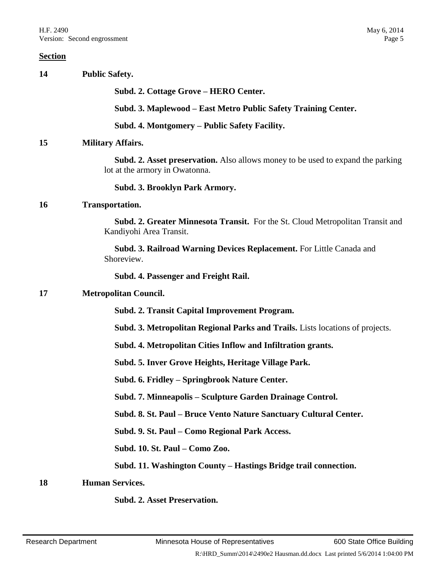| 14 | <b>Public Safety.</b>                                                                                                    |
|----|--------------------------------------------------------------------------------------------------------------------------|
|    | Subd. 2. Cottage Grove – HERO Center.                                                                                    |
|    | Subd. 3. Maplewood – East Metro Public Safety Training Center.                                                           |
|    | Subd. 4. Montgomery – Public Safety Facility.                                                                            |
| 15 | <b>Military Affairs.</b>                                                                                                 |
|    | <b>Subd. 2. Asset preservation.</b> Also allows money to be used to expand the parking<br>lot at the armory in Owatonna. |
|    | Subd. 3. Brooklyn Park Armory.                                                                                           |
| 16 | <b>Transportation.</b>                                                                                                   |
|    | <b>Subd. 2. Greater Minnesota Transit.</b> For the St. Cloud Metropolitan Transit and<br>Kandiyohi Area Transit.         |
|    | Subd. 3. Railroad Warning Devices Replacement. For Little Canada and<br>Shoreview.                                       |
|    | Subd. 4. Passenger and Freight Rail.                                                                                     |
| 17 | <b>Metropolitan Council.</b>                                                                                             |
|    | Subd. 2. Transit Capital Improvement Program.                                                                            |
|    | <b>Subd. 3. Metropolitan Regional Parks and Trails.</b> Lists locations of projects.                                     |
|    | Subd. 4. Metropolitan Cities Inflow and Infiltration grants.                                                             |
|    | Subd. 5. Inver Grove Heights, Heritage Village Park.                                                                     |
|    | Subd. 6. Fridley – Springbrook Nature Center.                                                                            |
|    | Subd. 7. Minneapolis - Sculpture Garden Drainage Control.                                                                |
|    | Subd. 8. St. Paul – Bruce Vento Nature Sanctuary Cultural Center.                                                        |
|    | Subd. 9. St. Paul - Como Regional Park Access.                                                                           |
|    | Subd. 10. St. Paul - Como Zoo.                                                                                           |
|    | Subd. 11. Washington County – Hastings Bridge trail connection.                                                          |
| 18 | <b>Human Services.</b>                                                                                                   |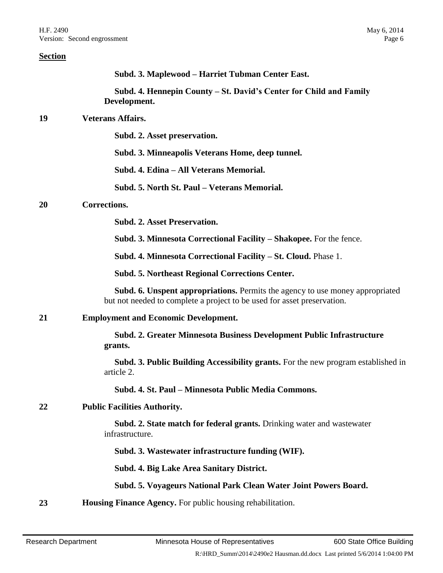| <b>Section</b> |                                                                                                                                                                 |
|----------------|-----------------------------------------------------------------------------------------------------------------------------------------------------------------|
|                | Subd. 3. Maplewood – Harriet Tubman Center East.                                                                                                                |
|                | Subd. 4. Hennepin County – St. David's Center for Child and Family<br>Development.                                                                              |
| 19             | <b>Veterans Affairs.</b>                                                                                                                                        |
|                | Subd. 2. Asset preservation.                                                                                                                                    |
|                | Subd. 3. Minneapolis Veterans Home, deep tunnel.                                                                                                                |
|                | Subd. 4. Edina – All Veterans Memorial.                                                                                                                         |
|                | Subd. 5. North St. Paul – Veterans Memorial.                                                                                                                    |
| <b>20</b>      | Corrections.                                                                                                                                                    |
|                | <b>Subd. 2. Asset Preservation.</b>                                                                                                                             |
|                | Subd. 3. Minnesota Correctional Facility – Shakopee. For the fence.                                                                                             |
|                | Subd. 4. Minnesota Correctional Facility – St. Cloud. Phase 1.                                                                                                  |
|                | <b>Subd. 5. Northeast Regional Corrections Center.</b>                                                                                                          |
|                | <b>Subd. 6. Unspent appropriations.</b> Permits the agency to use money appropriated<br>but not needed to complete a project to be used for asset preservation. |
| 21             | <b>Employment and Economic Development.</b>                                                                                                                     |
|                | Subd. 2. Greater Minnesota Business Development Public Infrastructure<br>grants.                                                                                |
|                | Subd. 3. Public Building Accessibility grants. For the new program established in<br>article 2.                                                                 |
|                | Subd. 4. St. Paul - Minnesota Public Media Commons.                                                                                                             |
| 22             | <b>Public Facilities Authority.</b>                                                                                                                             |
|                | Subd. 2. State match for federal grants. Drinking water and wastewater<br>infrastructure.                                                                       |
|                | Subd. 3. Wastewater infrastructure funding (WIF).                                                                                                               |
|                | Subd. 4. Big Lake Area Sanitary District.                                                                                                                       |
|                | Subd. 5. Voyageurs National Park Clean Water Joint Powers Board.                                                                                                |
| 23             | <b>Housing Finance Agency.</b> For public housing rehabilitation.                                                                                               |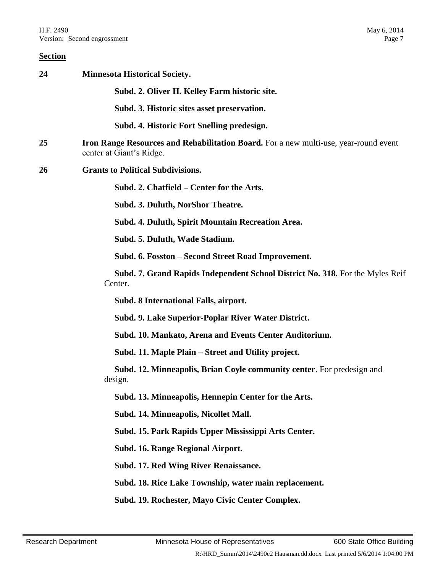| 24 | <b>Minnesota Historical Society.</b>                                                                             |
|----|------------------------------------------------------------------------------------------------------------------|
|    | Subd. 2. Oliver H. Kelley Farm historic site.                                                                    |
|    | Subd. 3. Historic sites asset preservation.                                                                      |
|    | Subd. 4. Historic Fort Snelling predesign.                                                                       |
| 25 | Iron Range Resources and Rehabilitation Board. For a new multi-use, year-round event<br>center at Giant's Ridge. |
| 26 | <b>Grants to Political Subdivisions.</b>                                                                         |
|    | Subd. 2. Chatfield – Center for the Arts.                                                                        |
|    | Subd. 3. Duluth, NorShor Theatre.                                                                                |
|    | Subd. 4. Duluth, Spirit Mountain Recreation Area.                                                                |
|    | Subd. 5. Duluth, Wade Stadium.                                                                                   |
|    | Subd. 6. Fosston – Second Street Road Improvement.                                                               |
|    | Subd. 7. Grand Rapids Independent School District No. 318. For the Myles Reif<br>Center.                         |
|    | Subd. 8 International Falls, airport.                                                                            |
|    | Subd. 9. Lake Superior-Poplar River Water District.                                                              |
|    | Subd. 10. Mankato, Arena and Events Center Auditorium.                                                           |
|    | Subd. 11. Maple Plain – Street and Utility project.                                                              |
|    | Subd. 12. Minneapolis, Brian Coyle community center. For predesign and<br>design.                                |
|    | Subd. 13. Minneapolis, Hennepin Center for the Arts.                                                             |
|    | Subd. 14. Minneapolis, Nicollet Mall.                                                                            |
|    | Subd. 15. Park Rapids Upper Mississippi Arts Center.                                                             |
|    | Subd. 16. Range Regional Airport.                                                                                |
|    | Subd. 17. Red Wing River Renaissance.                                                                            |
|    | Subd. 18. Rice Lake Township, water main replacement.                                                            |
|    | Subd. 19. Rochester, Mayo Civic Center Complex.                                                                  |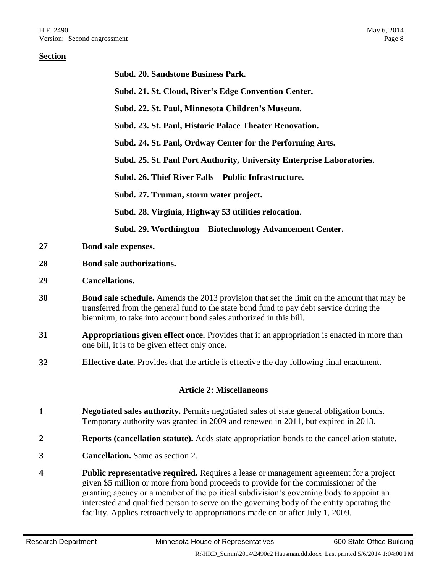|    | Subd. 20. Sandstone Business Park.                                                                                                                                                                                                                                                                                                                                                                                                                                |
|----|-------------------------------------------------------------------------------------------------------------------------------------------------------------------------------------------------------------------------------------------------------------------------------------------------------------------------------------------------------------------------------------------------------------------------------------------------------------------|
|    | Subd. 21. St. Cloud, River's Edge Convention Center.                                                                                                                                                                                                                                                                                                                                                                                                              |
|    | Subd. 22. St. Paul, Minnesota Children's Museum.                                                                                                                                                                                                                                                                                                                                                                                                                  |
|    | Subd. 23. St. Paul, Historic Palace Theater Renovation.                                                                                                                                                                                                                                                                                                                                                                                                           |
|    | Subd. 24. St. Paul, Ordway Center for the Performing Arts.                                                                                                                                                                                                                                                                                                                                                                                                        |
|    | Subd. 25. St. Paul Port Authority, University Enterprise Laboratories.                                                                                                                                                                                                                                                                                                                                                                                            |
|    | Subd. 26. Thief River Falls - Public Infrastructure.                                                                                                                                                                                                                                                                                                                                                                                                              |
|    | Subd. 27. Truman, storm water project.                                                                                                                                                                                                                                                                                                                                                                                                                            |
|    | Subd. 28. Virginia, Highway 53 utilities relocation.                                                                                                                                                                                                                                                                                                                                                                                                              |
|    | Subd. 29. Worthington – Biotechnology Advancement Center.                                                                                                                                                                                                                                                                                                                                                                                                         |
| 27 | Bond sale expenses.                                                                                                                                                                                                                                                                                                                                                                                                                                               |
| 28 | Bond sale authorizations.                                                                                                                                                                                                                                                                                                                                                                                                                                         |
| 29 | <b>Cancellations.</b>                                                                                                                                                                                                                                                                                                                                                                                                                                             |
| 30 | Bond sale schedule. Amends the 2013 provision that set the limit on the amount that may be<br>transferred from the general fund to the state bond fund to pay debt service during the<br>biennium, to take into account bond sales authorized in this bill.                                                                                                                                                                                                       |
| 31 | Appropriations given effect once. Provides that if an appropriation is enacted in more than<br>one bill, it is to be given effect only once.                                                                                                                                                                                                                                                                                                                      |
| 32 | <b>Effective date.</b> Provides that the article is effective the day following final enactment.                                                                                                                                                                                                                                                                                                                                                                  |
|    | <b>Article 2: Miscellaneous</b>                                                                                                                                                                                                                                                                                                                                                                                                                                   |
| 1  | Negotiated sales authority. Permits negotiated sales of state general obligation bonds.<br>Temporary authority was granted in 2009 and renewed in 2011, but expired in 2013.                                                                                                                                                                                                                                                                                      |
| 2  | <b>Reports (cancellation statute).</b> Adds state appropriation bonds to the cancellation statute.                                                                                                                                                                                                                                                                                                                                                                |
| 3  | <b>Cancellation.</b> Same as section 2.                                                                                                                                                                                                                                                                                                                                                                                                                           |
| 4  | <b>Public representative required.</b> Requires a lease or management agreement for a project<br>given \$5 million or more from bond proceeds to provide for the commissioner of the<br>granting agency or a member of the political subdivision's governing body to appoint an<br>interested and qualified person to serve on the governing body of the entity operating the<br>facility. Applies retroactively to appropriations made on or after July 1, 2009. |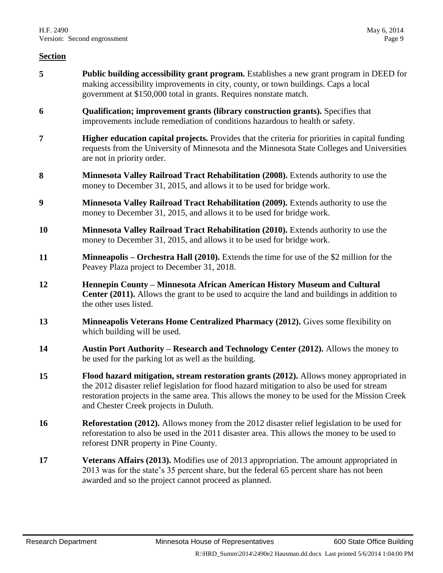- **5 Public building accessibility grant program.** Establishes a new grant program in DEED for making accessibility improvements in city, county, or town buildings. Caps a local government at \$150,000 total in grants. Requires nonstate match.
- **6 Qualification; improvement grants (library construction grants).** Specifies that improvements include remediation of conditions hazardous to health or safety.
- **7 Higher education capital projects.** Provides that the criteria for priorities in capital funding requests from the University of Minnesota and the Minnesota State Colleges and Universities are not in priority order.
- **8 Minnesota Valley Railroad Tract Rehabilitation (2008).** Extends authority to use the money to December 31, 2015, and allows it to be used for bridge work.
- **9 Minnesota Valley Railroad Tract Rehabilitation (2009).** Extends authority to use the money to December 31, 2015, and allows it to be used for bridge work.
- **10 Minnesota Valley Railroad Tract Rehabilitation (2010).** Extends authority to use the money to December 31, 2015, and allows it to be used for bridge work.
- **11 Minneapolis – Orchestra Hall (2010).** Extends the time for use of the \$2 million for the Peavey Plaza project to December 31, 2018.
- **12 Hennepin County – Minnesota African American History Museum and Cultural Center (2011).** Allows the grant to be used to acquire the land and buildings in addition to the other uses listed.
- **13 Minneapolis Veterans Home Centralized Pharmacy (2012).** Gives some flexibility on which building will be used.
- **14 Austin Port Authority – Research and Technology Center (2012).** Allows the money to be used for the parking lot as well as the building.
- **15 Flood hazard mitigation, stream restoration grants (2012).** Allows money appropriated in the 2012 disaster relief legislation for flood hazard mitigation to also be used for stream restoration projects in the same area. This allows the money to be used for the Mission Creek and Chester Creek projects in Duluth.
- **16 Reforestation (2012).** Allows money from the 2012 disaster relief legislation to be used for reforestation to also be used in the 2011 disaster area. This allows the money to be used to reforest DNR property in Pine County.
- **17 Veterans Affairs (2013).** Modifies use of 2013 appropriation. The amount appropriated in 2013 was for the state's 35 percent share, but the federal 65 percent share has not been awarded and so the project cannot proceed as planned.